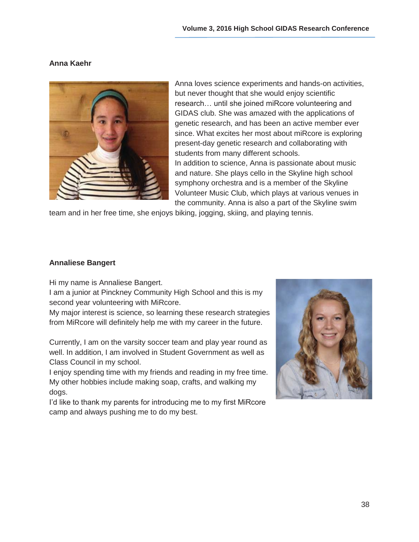# **Anna Kaehr**



Anna loves science experiments and hands-on activities, but never thought that she would enjoy scientific research… until she joined miRcore volunteering and GIDAS club. She was amazed with the applications of genetic research, and has been an active member ever since. What excites her most about miRcore is exploring present-day genetic research and collaborating with students from many different schools. In addition to science, Anna is passionate about music and nature. She plays cello in the Skyline high school symphony orchestra and is a member of the Skyline Volunteer Music Club, which plays at various venues in the community. Anna is also a part of the Skyline swim

team and in her free time, she enjoys biking, jogging, skiing, and playing tennis.

### **Annaliese Bangert**

Hi my name is Annaliese Bangert.

I am a junior at Pinckney Community High School and this is my second year volunteering with MiRcore.

My major interest is science, so learning these research strategies from MiRcore will definitely help me with my career in the future.

Currently, I am on the varsity soccer team and play year round as well. In addition, I am involved in Student Government as well as Class Council in my school.

I enjoy spending time with my friends and reading in my free time. My other hobbies include making soap, crafts, and walking my dogs.

I'd like to thank my parents for introducing me to my first MiRcore camp and always pushing me to do my best.

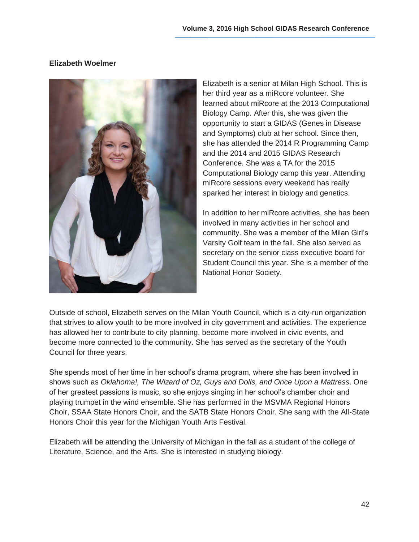# **Elizabeth Woelmer**



Elizabeth is a senior at Milan High School. This is her third year as a miRcore volunteer. She learned about miRcore at the 2013 Computational Biology Camp. After this, she was given the opportunity to start a GIDAS (Genes in Disease and Symptoms) club at her school. Since then, she has attended the 2014 R Programming Camp and the 2014 and 2015 GIDAS Research Conference. She was a TA for the 2015 Computational Biology camp this year. Attending miRcore sessions every weekend has really sparked her interest in biology and genetics.

In addition to her miRcore activities, she has been involved in many activities in her school and community. She was a member of the Milan Girl's Varsity Golf team in the fall. She also served as secretary on the senior class executive board for Student Council this year. She is a member of the National Honor Society.

Outside of school, Elizabeth serves on the Milan Youth Council, which is a city-run organization that strives to allow youth to be more involved in city government and activities. The experience has allowed her to contribute to city planning, become more involved in civic events, and become more connected to the community. She has served as the secretary of the Youth Council for three years.

She spends most of her time in her school's drama program, where she has been involved in shows such as *Oklahoma!, The Wizard of Oz, Guys and Dolls, and Once Upon a Mattress*. One of her greatest passions is music, so she enjoys singing in her school's chamber choir and playing trumpet in the wind ensemble. She has performed in the MSVMA Regional Honors Choir, SSAA State Honors Choir, and the SATB State Honors Choir. She sang with the All-State Honors Choir this year for the Michigan Youth Arts Festival.

Elizabeth will be attending the University of Michigan in the fall as a student of the college of Literature, Science, and the Arts. She is interested in studying biology.